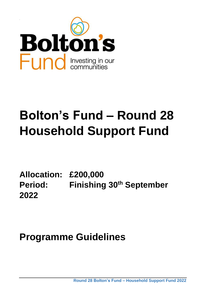

# **Bolton's Fund – Round 28 Household Support Fund**

**Allocation: £200,000 Period: Finishing 30th September 2022** 

**Programme Guidelines**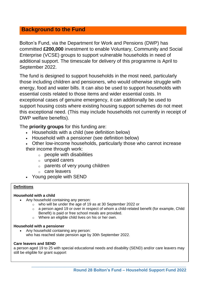#### **Background to the Fund**

Bolton's Fund, via the Department for Work and Pensions (DWP) has committed **£200,000** investment to enable Voluntary, Community and Social Enterprise (VCSE) groups to support vulnerable households in need of additional support. The timescale for delivery of this programme is April to September 2022.

The fund is designed to support households in the most need, particularly those including children and pensioners, who would otherwise struggle with energy, food and water bills. It can also be used to support households with essential costs related to those items and wider essential costs. In exceptional cases of genuine emergency, it can additionally be used to support housing costs where existing housing support schemes do not meet this exceptional need. (This may include households not currently in receipt of DWP welfare benefits).

The **priority groups** for this funding are:

- Households with a child (see definition below)
- Household with a pensioner (see definition below)
- Other low-income households, particularly those who cannot increase their income through work:
	- $\circ$  people with disabilities
	- o unpaid carers
	- o parents of very young children
	- o care leavers
- Young people with SEND

#### **Definitions**

#### **Household with a child**

- Any household containing any person:
	- o who will be under the age of 19 as at 30 September 2022 or
	- $\circ$  a person aged 19 or over in respect of whom a child-related benefit (for example, Child Benefit) is paid or free school meals are provided.

 $\_$  , and the set of the set of the set of the set of the set of the set of the set of the set of the set of the set of the set of the set of the set of the set of the set of the set of the set of the set of the set of th

o Where an eligible child lives on his or her own.

#### **Household with a pensioner**

 Any household containing any person: who has reached state pension age by 30th September 2022.

#### **Care leavers and SEND**

a person aged 19 to 25 with special educational needs and disability (SEND) and/or care leavers may still be eligible for grant support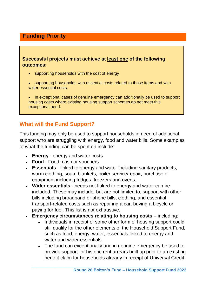# **Funding Priority**

#### **Successful projects must achieve at least one of the following outcomes:**

- supporting households with the cost of energy
- supporting households with essential costs related to those items and with wider essential costs.
- In exceptional cases of genuine emergency can additionally be used to support housing costs where existing housing support schemes do not meet this exceptional need.

# **What will the Fund Support?**

This funding may only be used to support households in need of additional support who are struggling with energy, food and water bills. Some examples of what the funding can be spent on include:

- **Energy**  energy and water costs
- **Food** Food, cash or vouchers
- **Essentials**  linked to energy and water including sanitary products, warm clothing, soap, blankets, boiler service/repair, purchase of equipment including fridges, freezers and ovens.
- **Wider essentials** needs not linked to energy and water can be included. These may include, but are not limited to, support with other bills including broadband or phone bills, clothing, and essential transport-related costs such as repairing a car, buying a bicycle or paying for fuel. This list is not exhaustive.
- **Emergency circumstances relating to housing costs** including:
	- Individuals in receipt of some other form of housing support could still qualify for the other elements of the Household Support Fund, such as food, energy, water, essentials linked to energy and water and wider essentials.
	- The fund can exceptionally and in genuine emergency be used to provide support for historic rent arrears built up prior to an existing benefit claim for households already in receipt of Universal Credit.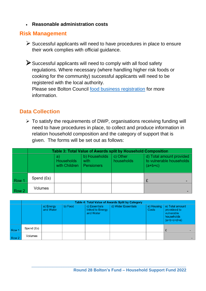**Reasonable administration costs**

## **Risk Management**

 $\triangleright$  Successful applicants will need to have procedures in place to ensure their work complies with official guidance.

Successful applicants will need to comply with all food safety regulations. Where necessary (where handling higher risk foods or cooking for the community) successful applicants will need to be registered with the local authority.

Please see Bolton Council [food business registration](https://www.bolton.gov.uk/business-licenses/food-business-registration) for more information.

## **Data Collection**

 $\triangleright$  To satisfy the requirements of DWP, organisations receiving funding will need to have procedures in place, to collect and produce information in relation household composition and the category of support that is given. The forms will be set out as follows:

|       | Table 3: Total Value of Awards split by Household Composition |                                         |                                            |                        |                                                                   |  |  |
|-------|---------------------------------------------------------------|-----------------------------------------|--------------------------------------------|------------------------|-------------------------------------------------------------------|--|--|
|       |                                                               | a<br><b>Households</b><br>with Children | b) Households<br>with<br><b>Pensioners</b> | c) Other<br>households | d) Total amount provided<br>to vulnerable households<br>$(a+b+c)$ |  |  |
| Row 1 | Spend (£s)                                                    |                                         |                                            |                        |                                                                   |  |  |
| Row 2 | Volumes                                                       |                                         |                                            |                        |                                                                   |  |  |

|                  | Table 4: Total Value of Awards Split by Category |                        |         |                                                |                     |                     |                                                                              |  |
|------------------|--------------------------------------------------|------------------------|---------|------------------------------------------------|---------------------|---------------------|------------------------------------------------------------------------------|--|
|                  |                                                  | a) Energy<br>and Water | b) Food | c) Essentials<br>linked to Energy<br>and Water | d) Wider Essentials | e) Housing<br>Costs | e) Total amount<br>provideed to<br>vulnerable<br>households<br>$(a+b+c+d+e)$ |  |
| Row 1            | Spend (£s)                                       |                        |         |                                                |                     |                     |                                                                              |  |
| Row <sub>2</sub> | Volumes                                          |                        |         |                                                |                     |                     |                                                                              |  |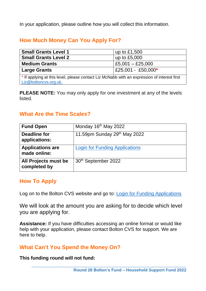In your application, please outline how you will collect this information.

# **How Much Money Can You Apply For?**

| <b>Small Grants Level 1</b>                                                                 | up to £1,500       |  |  |  |
|---------------------------------------------------------------------------------------------|--------------------|--|--|--|
| <b>Small Grants Level 2</b>                                                                 | up to $£5,000$     |  |  |  |
| <b>Medium Grants</b>                                                                        | £5,001 $-$ £25,000 |  |  |  |
| <b>Large Grants</b>                                                                         | £25,001 - £50,000* |  |  |  |
| * If applying at this level, please contact Liz McNabb with an expression of interest first |                    |  |  |  |
| Liz@boltoncvs.org.uk.                                                                       |                    |  |  |  |

**PLEASE NOTE:** You may only apply for one investment at any of the levels listed.

## **What Are the Time Scales?**

| <b>Fund Open</b>                        | Monday 16 <sup>th</sup> May 2022      |
|-----------------------------------------|---------------------------------------|
| Deadline for<br>applications:           | 11.59pm Sunday 29th May 2022          |
| <b>Applications are</b><br>made online: | <b>Login for Funding Applications</b> |
| All Projects must be<br>completed by    | 30 <sup>th</sup> September 2022       |

## **How To Apply**

Log on to the Bolton CVS website and go to: [Login for Funding Applications](https://www.boltoncvs.org.uk/log-insubmit-monitoring)

We will look at the amount you are asking for to decide which level you are applying for.

**Assistance:** If you have difficulties accessing an online format or would like help with your application, please contact Bolton CVS for support. We are here to help.

 $\_$  , and the set of the set of the set of the set of the set of the set of the set of the set of the set of the set of the set of the set of the set of the set of the set of the set of the set of the set of the set of th

## **What Can't You Spend the Money On?**

**This funding round will not fund:**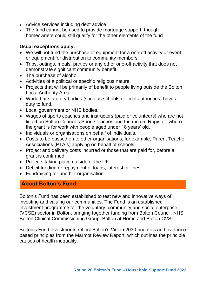- Advice services including debt advice
- The fund cannot be used to provide mortgage support, though homeowners could still qualify for the other elements of the fund

#### **Usual exceptions apply:**

- We will not fund the purchase of equipment for a one-off activity or event or equipment for distribution to community members.
- Trips, outings, meals, parties or any other one-off activity that does not demonstrate significant community benefit.
- The purchase of alcohol.
- Activities of a political or specific religious nature.
- Projects that will be primarily of benefit to people living outside the Bolton Local Authority Area.
- Work that statutory bodies (such as schools or local authorities) have a duty to fund.
- Local government or NHS bodies.
- Wages of sports coaches and instructors (paid or volunteers) who are not listed on Bolton Council's Sport Coaches and Instructors Register, where the grant is for work with people aged under 18 years' old.
- Individuals or organisations on behalf of individuals.
- Costs to be passed on to other organisations, for example, Parent Teacher Associations (PTA's) applying on behalf of schools.
- Project and delivery costs incurred or those that are paid for, before a grant is confirmed.
- Projects taking place outside of the UK.
- Deficit funding or repayment of loans, interest or fines.
- Fundraising for another organisation.

# **About Bolton's Fund**

Bolton's Fund has been established to test new and innovative ways of investing and valuing our communities. The Fund is an established investment programme for the voluntary, community and social enterprise (VCSE) sector in Bolton, bringing together funding from Bolton Council, NHS Bolton Clinical Commissioning Group, Bolton at Home and Bolton CVS.

Bolton's Fund investments reflect Bolton's Vision 2030 priorities and evidence based principles from the Marmot Review Report, which outlines the principle causes of health inequality.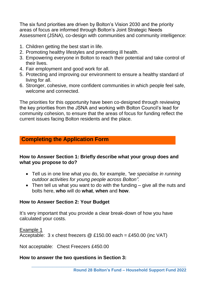The six fund priorities are driven by Bolton's Vision 2030 and the priority areas of focus are informed through Bolton's Joint Strategic Needs Assessment (JSNA), co-design with communities and community intelligence:

- 1. Children getting the best start in life.
- 2. Promoting healthy lifestyles and preventing ill health.
- 3. Empowering everyone in Bolton to reach their potential and take control of their lives.
- 4. Fair employment and good work for all.
- 5. Protecting and improving our environment to ensure a healthy standard of living for all.
- 6. Stronger, cohesive, more confident communities in which people feel safe, welcome and connected.

The priorities for this opportunity have been co-designed through reviewing the key priorities from the JSNA and working with Bolton Council's lead for community cohesion, to ensure that the areas of focus for funding reflect the current issues facing Bolton residents and the place.

## **Completing the Application Form**

#### **How to Answer Section 1: Briefly describe what your group does and what you propose to do?**

- Tell us in one line what you do, for example, *"we specialise in running outdoor activities for young people across Bolton".*
- Then tell us what you want to do with the funding give all the nuts and bolts here, **who** will do **what**, **when** and **how**.

 $\_$  , and the set of the set of the set of the set of the set of the set of the set of the set of the set of the set of the set of the set of the set of the set of the set of the set of the set of the set of the set of th

#### **How to Answer Section 2: Your Budget**

It's very important that you provide a clear break-down of how you have calculated your costs.

Example 1

Acceptable: 3 x chest freezers @ £150.00 each = £450.00 (inc VAT)

Not acceptable: Chest Freezers £450.00

#### **How to answer the two questions in Section 3:**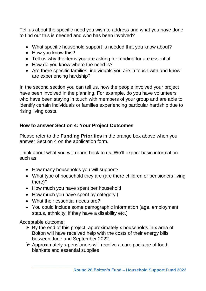Tell us about the specific need you wish to address and what you have done to find out this is needed and who has been involved?

- What specific household support is needed that you know about?
- How you know this?
- Tell us why the items you are asking for funding for are essential
- How do you know where the need is?
- Are there specific families, individuals you are in touch with and know are experiencing hardship?

In the second section you can tell us, how the people involved your project have been involved in the planning. For example, do you have volunteers who have been staying in touch with members of your group and are able to identify certain individuals or families experiencing particular hardship due to rising living costs.

#### **How to answer Section 4: Your Project Outcomes**

Please refer to the **Funding Priorities** in the orange box above when you answer Section 4 on the application form.

Think about what you will report back to us. We'll expect basic information such as:

- How many households you will support?
- What type of household they are (are there children or pensioners living there)?
- How much you have spent per household
- How much you have spent by category (
- What their essential needs are?
- You could include some demographic information (age, employment status, ethnicity, if they have a disability etc.)

Acceptable outcome:

- $\triangleright$  By the end of this project, approximately x households in x area of Bolton will have received help with the costs of their energy bills between June and September 2022.
- $\triangleright$  Approximately x pensioners will receive a care package of food, blankets and essential supplies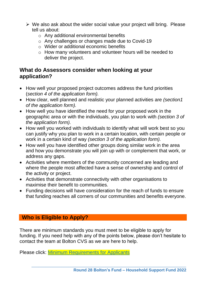- $\triangleright$  We also ask about the wider social value your project will bring. Please tell us about:
	- o Any additional environmental benefits
	- o Any challenges or changes made due to Covid-19
	- o Wider or additional economic benefits
	- o How many volunteers and volunteer hours will be needed to deliver the project.

#### **What do Assessors consider when looking at your application?**

- How well your proposed project outcomes address the fund priorities (*section 4 of the application form).*
- How clear, well planned and realistic your planned activities are *(section1 of the application form).*
- How well you have identified the need for your proposed work in the geographic area or with the individuals, you plan to work with *(section 3 of the application form).*
- How well you worked with individuals to identify what will work best so you can justify why you plan to work in a certain location, with certain people or work in a certain kind of way *(section 3 of the application form).*
- How well you have identified other groups doing similar work in the area and how you demonstrate you will join up with or complement that work, or address any gaps.
- Activities where members of the community concerned are leading and where the people most affected have a sense of ownership and control of the activity or project.
- Activities that demonstrate connectivity with other organisations to maximise their benefit to communities.
- Funding decisions will have consideration for the reach of funds to ensure that funding reaches all corners of our communities and benefits everyone.

## **Who is Eligible to Apply?**

There are minimum standards you must meet to be eligible to apply for funding. If you need help with any of the points below, please don't hesitate to contact the team at Bolton CVS as we are here to help.

 $\_$  , and the set of the set of the set of the set of the set of the set of the set of the set of the set of the set of the set of the set of the set of the set of the set of the set of the set of the set of the set of th

Please click: [Minimum Requirements for Applicants](https://www.boltoncvs.org.uk/sites/boltoncvs.org.uk/files/Bolton%27s%20Fund%20minimum%20Requirements%20what%20we%20can%20fund%20Oct%202020.pdf)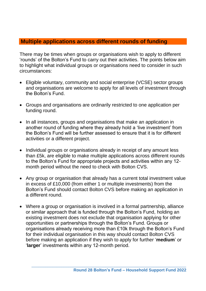#### **Multiple applications across different rounds of funding**

There may be times when groups or organisations wish to apply to different 'rounds' of the Bolton's Fund to carry out their activities. The points below aim to highlight what individual groups or organisations need to consider in such circumstances:

- Eligible voluntary, community and social enterprise (VCSE) sector groups and organisations are welcome to apply for all levels of investment through the Bolton's Fund.
- Groups and organisations are ordinarily restricted to one application per funding round.
- In all instances, groups and organisations that make an application in another round of funding where they already hold a 'live investment' from the Bolton's Fund will be further assessed to ensure that it is for different activities or a different project.
- Individual groups or organisations already in receipt of any amount less than £5k, are eligible to make multiple applications across different rounds to the Bolton's Fund for appropriate projects and activities within any 12 month period without the need to check with Bolton CVS.
- Any group or organisation that already has a current total investment value in excess of £10,000 (from either 1 or multiple investments) from the Bolton's Fund should contact Bolton CVS before making an application in a different round.
- Where a group or organisation is involved in a formal partnership, alliance or similar approach that is funded through the Bolton's Fund, holding an existing investment does not exclude that organisation applying for other opportunities or partnerships through the Bolton's Fund. Groups or organisations already receiving more than £10k through the Bolton's Fund for their individual organisation in this way should contact Bolton CVS before making an application if they wish to apply for further '**medium**' or '**larger**' investments within any 12-month period.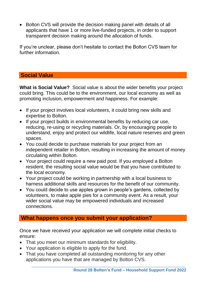• Bolton CVS will provide the decision making panel with details of all applicants that have 1 or more live-funded projects, in order to support transparent decision making around the allocation of funds.

If you're unclear, please don't hesitate to contact the Bolton CVS team for further information.

#### **Social Value**

**What is Social Value?** Social value is about the wider benefits your project could bring. This could be to the environment, our local economy as well as promoting inclusion, empowerment and happiness. For example:

- If your project involves local volunteers, it could bring new skills and expertise to Bolton.
- If your project builds in environmental benefits by reducing car use, reducing, re-using or recycling materials. Or, by encouraging people to understand, enjoy and protect our wildlife, local nature reserves and green spaces.
- You could decide to purchase materials for your project from an independent retailer in Bolton, resulting in increasing the amount of money circulating within Bolton.
- Your project could require a new paid post. If you employed a Bolton resident, the resulting social value would be that you have contributed to the local economy.
- Your project could be working in partnership with a local business to harness additional skills and resources for the benefit of our community.
- You could decide to use apples grown in people's gardens, collected by volunteers, to make apple pies for a community event. As a result, your wider social value may be empowered individuals and increased connections.

#### **What happens once you submit your application?**

Once we have received your application we will complete initial checks to ensure:

- That you meet our [minimum standards for](https://www.bbcchildreninneed.co.uk/wp-content/uploads/2019/09/External-Minimum-Standards.pdf) eligibility.
- Your application is eligible to apply for the fund.
- That you have completed all outstanding monitoring for any other applications you have that are managed by Bolton CVS.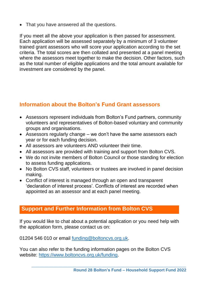That you have answered all the questions.

If you meet all the above your application is then passed for assessment. Each application will be assessed separately by a minimum of 3 volunteer trained grant assessors who will score your application according to the set criteria. The total scores are then collated and presented at a panel meeting where the assessors meet together to make the decision. Other factors, such as the total number of eligible applications and the total amount available for investment are considered by the panel.

## **Information about the Bolton's Fund Grant assessors**

- Assessors represent individuals from Bolton's Fund partners, community volunteers and representatives of Bolton-based voluntary and community groups and organisations.
- Assessors regularly change we don't have the same assessors each year or for each funding decision.
- All assessors are volunteers AND volunteer their time.
- All assessors are provided with training and support from Bolton CVS.
- We do not invite members of Bolton Council or those standing for election to assess funding applications.
- No Bolton CVS staff, volunteers or trustees are involved in panel decision making.
- Conflict of interest is managed through an open and transparent 'declaration of interest process'. Conflicts of interest are recorded when appointed as an assessor and at each panel meeting.

#### **Support and Further Information from Bolton CVS**

If you would like to chat about a potential application or you need help with the application form, please contact us on:

01204 546 010 or email [funding@boltoncvs.org.uk.](mailto:funding@boltoncvs.org.uk)

You can also refer to the funding information pages on the Bolton CVS website: [https://www.boltoncvs.org.uk/funding.](https://www.boltoncvs.org.uk/funding)